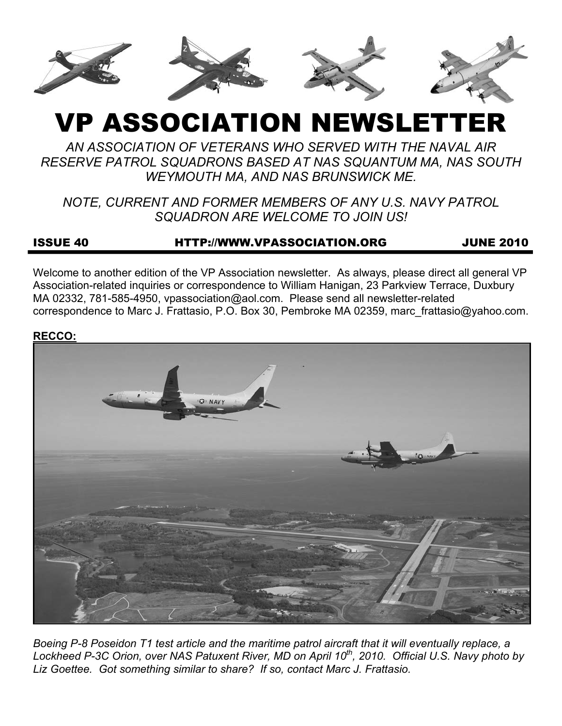

# VP ASSOCIATION NEWSLETTER

*AN ASSOCIATION OF VETERANS WHO SERVED WITH THE NAVAL AIR RESERVE PATROL SQUADRONS BASED AT NAS SQUANTUM MA, NAS SOUTH WEYMOUTH MA, AND NAS BRUNSWICK ME.* 

*NOTE, CURRENT AND FORMER MEMBERS OF ANY U.S. NAVY PATROL SQUADRON ARE WELCOME TO JOIN US!* 

## ISSUE 40 HTTP://WWW.VPASSOCIATION.ORG JUNE 2010

Welcome to another edition of the VP Association newsletter. As always, please direct all general VP Association-related inquiries or correspondence to William Hanigan, 23 Parkview Terrace, Duxbury MA 02332, 781-585-4950, vpassociation@aol.com. Please send all newsletter-related correspondence to Marc J. Frattasio, P.O. Box 30, Pembroke MA 02359, marc\_frattasio@yahoo.com.

**RECCO:**



*Boeing P-8 Poseidon T1 test article and the maritime patrol aircraft that it will eventually replace, a*  Lockheed P-3C Orion, over NAS Patuxent River, MD on April 10<sup>th</sup>, 2010. Official U.S. Navy photo by *Liz Goettee. Got something similar to share? If so, contact Marc J. Frattasio.*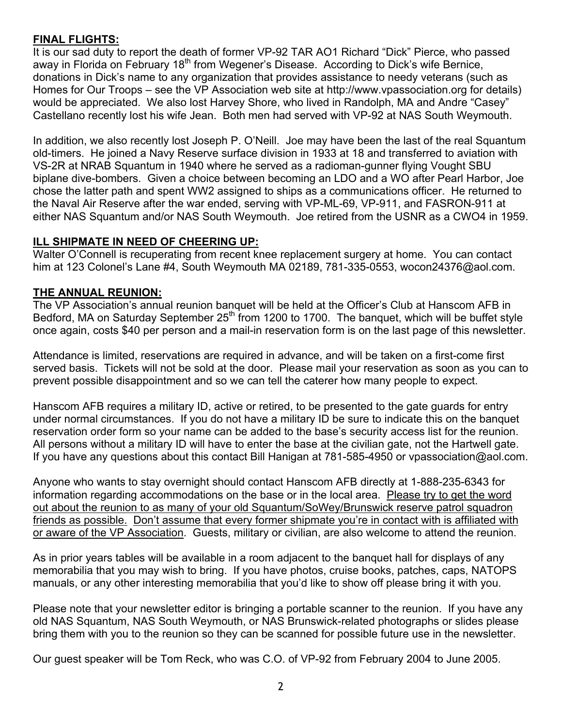## **FINAL FLIGHTS:**

It is our sad duty to report the death of former VP-92 TAR AO1 Richard "Dick" Pierce, who passed away in Florida on February 18<sup>th</sup> from Wegener's Disease. According to Dick's wife Bernice, donations in Dick's name to any organization that provides assistance to needy veterans (such as Homes for Our Troops – see the VP Association web site at http://www.vpassociation.org for details) would be appreciated. We also lost Harvey Shore, who lived in Randolph, MA and Andre "Casey" Castellano recently lost his wife Jean. Both men had served with VP-92 at NAS South Weymouth.

In addition, we also recently lost Joseph P. O'Neill. Joe may have been the last of the real Squantum old-timers. He joined a Navy Reserve surface division in 1933 at 18 and transferred to aviation with VS-2R at NRAB Squantum in 1940 where he served as a radioman-gunner flying Vought SBU biplane dive-bombers. Given a choice between becoming an LDO and a WO after Pearl Harbor, Joe chose the latter path and spent WW2 assigned to ships as a communications officer. He returned to the Naval Air Reserve after the war ended, serving with VP-ML-69, VP-911, and FASRON-911 at either NAS Squantum and/or NAS South Weymouth. Joe retired from the USNR as a CWO4 in 1959.

# **ILL SHIPMATE IN NEED OF CHEERING UP:**

Walter O'Connell is recuperating from recent knee replacement surgery at home. You can contact him at 123 Colonel's Lane #4, South Weymouth MA 02189, 781-335-0553, wocon24376@aol.com.

## **THE ANNUAL REUNION:**

The VP Association's annual reunion banquet will be held at the Officer's Club at Hanscom AFB in Bedford, MA on Saturday September 25<sup>th</sup> from 1200 to 1700. The banquet, which will be buffet style once again, costs \$40 per person and a mail-in reservation form is on the last page of this newsletter.

Attendance is limited, reservations are required in advance, and will be taken on a first-come first served basis. Tickets will not be sold at the door. Please mail your reservation as soon as you can to prevent possible disappointment and so we can tell the caterer how many people to expect.

Hanscom AFB requires a military ID, active or retired, to be presented to the gate guards for entry under normal circumstances. If you do not have a military ID be sure to indicate this on the banquet reservation order form so your name can be added to the base's security access list for the reunion. All persons without a military ID will have to enter the base at the civilian gate, not the Hartwell gate. If you have any questions about this contact Bill Hanigan at 781-585-4950 or vpassociation@aol.com.

Anyone who wants to stay overnight should contact Hanscom AFB directly at 1-888-235-6343 for information regarding accommodations on the base or in the local area. Please try to get the word out about the reunion to as many of your old Squantum/SoWey/Brunswick reserve patrol squadron friends as possible. Don't assume that every former shipmate you're in contact with is affiliated with or aware of the VP Association. Guests, military or civilian, are also welcome to attend the reunion.

As in prior years tables will be available in a room adjacent to the banquet hall for displays of any memorabilia that you may wish to bring. If you have photos, cruise books, patches, caps, NATOPS manuals, or any other interesting memorabilia that you'd like to show off please bring it with you.

Please note that your newsletter editor is bringing a portable scanner to the reunion. If you have any old NAS Squantum, NAS South Weymouth, or NAS Brunswick-related photographs or slides please bring them with you to the reunion so they can be scanned for possible future use in the newsletter.

Our guest speaker will be Tom Reck, who was C.O. of VP-92 from February 2004 to June 2005.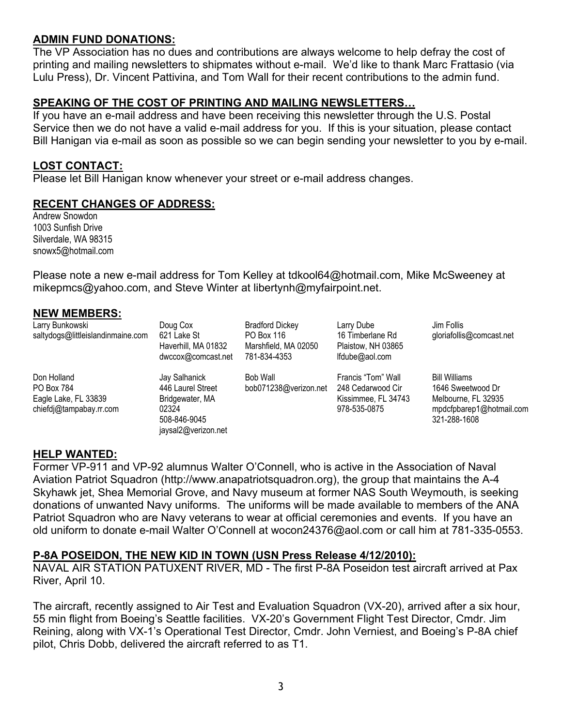## **ADMIN FUND DONATIONS:**

The VP Association has no dues and contributions are always welcome to help defray the cost of printing and mailing newsletters to shipmates without e-mail. We'd like to thank Marc Frattasio (via Lulu Press), Dr. Vincent Pattivina, and Tom Wall for their recent contributions to the admin fund.

## **SPEAKING OF THE COST OF PRINTING AND MAILING NEWSLETTERS…**

If you have an e-mail address and have been receiving this newsletter through the U.S. Postal Service then we do not have a valid e-mail address for you. If this is your situation, please contact Bill Hanigan via e-mail as soon as possible so we can begin sending your newsletter to you by e-mail.

### **LOST CONTACT:**

Please let Bill Hanigan know whenever your street or e-mail address changes.

### **RECENT CHANGES OF ADDRESS:**

Andrew Snowdon 1003 Sunfish Drive Silverdale, WA 98315 snowx5@hotmail.com

Please note a new e-mail address for Tom Kelley at tdkool64@hotmail.com, Mike McSweeney at mikepmcs@yahoo.com, and Steve Winter at libertynh@myfairpoint.net.

#### **NEW MEMBERS:**

| Larry Bunkowski<br>saltydogs@littleislandinmaine.com                         | Doug Cox<br>621 Lake St<br>Haverhill, MA 01832<br>dwccox@comcast.net                                  | <b>Bradford Dickey</b><br>PO Box 116<br>Marshfield, MA 02050<br>781-834-4353 | Larry Dube<br>16 Timberlane Rd<br>Plaistow, NH 03865<br>lfdube@aol.com         | Jim Follis<br>gloriafollis@comcast.net                                                                       |
|------------------------------------------------------------------------------|-------------------------------------------------------------------------------------------------------|------------------------------------------------------------------------------|--------------------------------------------------------------------------------|--------------------------------------------------------------------------------------------------------------|
| Don Holland<br>PO Box 784<br>Eagle Lake, FL 33839<br>chiefdj@tampabay.rr.com | Jay Salhanick<br>446 Laurel Street<br>Bridgewater, MA<br>02324<br>508-846-9045<br>jaysal2@verizon.net | <b>Bob Wall</b><br>bob071238@verizon.net                                     | Francis "Tom" Wall<br>248 Cedarwood Cir<br>Kissimmee, FL 34743<br>978-535-0875 | <b>Bill Williams</b><br>1646 Sweetwood Dr<br>Melbourne, FL 32935<br>mpdcfpbarep1@hotmail.com<br>321-288-1608 |

#### **HELP WANTED:**

Former VP-911 and VP-92 alumnus Walter O'Connell, who is active in the Association of Naval Aviation Patriot Squadron (http://www.anapatriotsquadron.org), the group that maintains the A-4 Skyhawk jet, Shea Memorial Grove, and Navy museum at former NAS South Weymouth, is seeking donations of unwanted Navy uniforms. The uniforms will be made available to members of the ANA Patriot Squadron who are Navy veterans to wear at official ceremonies and events. If you have an old uniform to donate e-mail Walter O'Connell at wocon24376@aol.com or call him at 781-335-0553.

### **P-8A POSEIDON, THE NEW KID IN TOWN (USN Press Release 4/12/2010):**

NAVAL AIR STATION PATUXENT RIVER, MD - The first P-8A Poseidon test aircraft arrived at Pax River, April 10.

The aircraft, recently assigned to Air Test and Evaluation Squadron (VX-20), arrived after a six hour, 55 min flight from Boeing's Seattle facilities. VX-20's Government Flight Test Director, Cmdr. Jim Reining, along with VX-1's Operational Test Director, Cmdr. John Verniest, and Boeing's P-8A chief pilot, Chris Dobb, delivered the aircraft referred to as T1.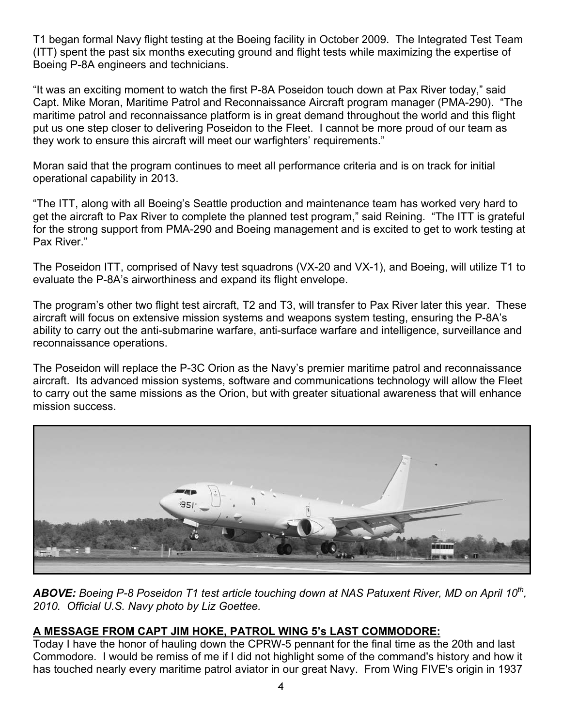T1 began formal Navy flight testing at the Boeing facility in October 2009. The Integrated Test Team (ITT) spent the past six months executing ground and flight tests while maximizing the expertise of Boeing P-8A engineers and technicians.

"It was an exciting moment to watch the first P-8A Poseidon touch down at Pax River today," said Capt. Mike Moran, Maritime Patrol and Reconnaissance Aircraft program manager (PMA-290). "The maritime patrol and reconnaissance platform is in great demand throughout the world and this flight put us one step closer to delivering Poseidon to the Fleet. I cannot be more proud of our team as they work to ensure this aircraft will meet our warfighters' requirements."

Moran said that the program continues to meet all performance criteria and is on track for initial operational capability in 2013.

"The ITT, along with all Boeing's Seattle production and maintenance team has worked very hard to get the aircraft to Pax River to complete the planned test program," said Reining. "The ITT is grateful for the strong support from PMA-290 and Boeing management and is excited to get to work testing at Pax River."

The Poseidon ITT, comprised of Navy test squadrons (VX-20 and VX-1), and Boeing, will utilize T1 to evaluate the P-8A's airworthiness and expand its flight envelope.

The program's other two flight test aircraft, T2 and T3, will transfer to Pax River later this year. These aircraft will focus on extensive mission systems and weapons system testing, ensuring the P-8A's ability to carry out the anti-submarine warfare, anti-surface warfare and intelligence, surveillance and reconnaissance operations.

The Poseidon will replace the P-3C Orion as the Navy's premier maritime patrol and reconnaissance aircraft. Its advanced mission systems, software and communications technology will allow the Fleet to carry out the same missions as the Orion, but with greater situational awareness that will enhance mission success.



*ABOVE: Boeing P-8 Poseidon T1 test article touching down at NAS Patuxent River, MD on April 10th, 2010. Official U.S. Navy photo by Liz Goettee.*

# **A MESSAGE FROM CAPT JIM HOKE, PATROL WING 5's LAST COMMODORE:**

Today I have the honor of hauling down the CPRW-5 pennant for the final time as the 20th and last Commodore. I would be remiss of me if I did not highlight some of the command's history and how it has touched nearly every maritime patrol aviator in our great Navy. From Wing FIVE's origin in 1937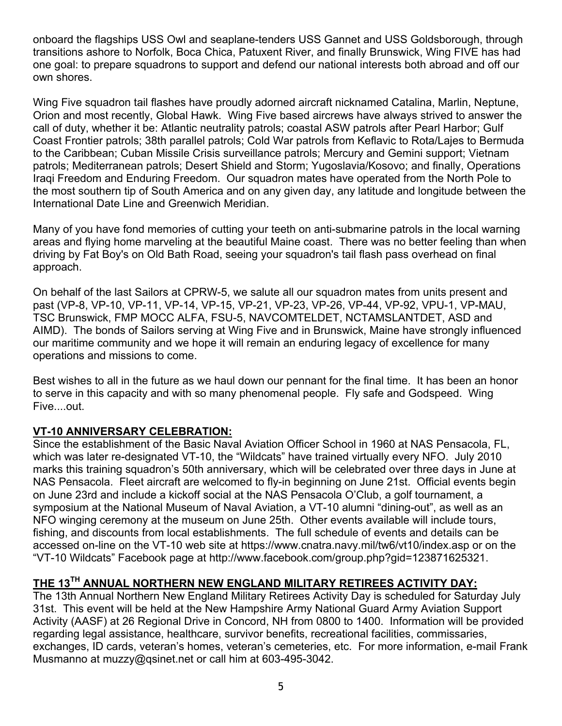onboard the flagships USS Owl and seaplane-tenders USS Gannet and USS Goldsborough, through transitions ashore to Norfolk, Boca Chica, Patuxent River, and finally Brunswick, Wing FIVE has had one goal: to prepare squadrons to support and defend our national interests both abroad and off our own shores.

Wing Five squadron tail flashes have proudly adorned aircraft nicknamed Catalina, Marlin, Neptune, Orion and most recently, Global Hawk. Wing Five based aircrews have always strived to answer the call of duty, whether it be: Atlantic neutrality patrols; coastal ASW patrols after Pearl Harbor; Gulf Coast Frontier patrols; 38th parallel patrols; Cold War patrols from Keflavic to Rota/Lajes to Bermuda to the Caribbean; Cuban Missile Crisis surveillance patrols; Mercury and Gemini support; Vietnam patrols; Mediterranean patrols; Desert Shield and Storm; Yugoslavia/Kosovo; and finally, Operations Iraqi Freedom and Enduring Freedom. Our squadron mates have operated from the North Pole to the most southern tip of South America and on any given day, any latitude and longitude between the International Date Line and Greenwich Meridian.

Many of you have fond memories of cutting your teeth on anti-submarine patrols in the local warning areas and flying home marveling at the beautiful Maine coast. There was no better feeling than when driving by Fat Boy's on Old Bath Road, seeing your squadron's tail flash pass overhead on final approach.

On behalf of the last Sailors at CPRW-5, we salute all our squadron mates from units present and past (VP-8, VP-10, VP-11, VP-14, VP-15, VP-21, VP-23, VP-26, VP-44, VP-92, VPU-1, VP-MAU, TSC Brunswick, FMP MOCC ALFA, FSU-5, NAVCOMTELDET, NCTAMSLANTDET, ASD and AIMD). The bonds of Sailors serving at Wing Five and in Brunswick, Maine have strongly influenced our maritime community and we hope it will remain an enduring legacy of excellence for many operations and missions to come.

Best wishes to all in the future as we haul down our pennant for the final time. It has been an honor to serve in this capacity and with so many phenomenal people. Fly safe and Godspeed. Wing Five....out.

## **VT-10 ANNIVERSARY CELEBRATION:**

Since the establishment of the Basic Naval Aviation Officer School in 1960 at NAS Pensacola, FL, which was later re-designated VT-10, the "Wildcats" have trained virtually every NFO. July 2010 marks this training squadron's 50th anniversary, which will be celebrated over three days in June at NAS Pensacola. Fleet aircraft are welcomed to fly-in beginning on June 21st. Official events begin on June 23rd and include a kickoff social at the NAS Pensacola O'Club, a golf tournament, a symposium at the National Museum of Naval Aviation, a VT-10 alumni "dining-out", as well as an NFO winging ceremony at the museum on June 25th. Other events available will include tours, fishing, and discounts from local establishments. The full schedule of events and details can be accessed on-line on the VT-10 web site at https://www.cnatra.navy.mil/tw6/vt10/index.asp or on the "VT-10 Wildcats" Facebook page at http://www.facebook.com/group.php?gid=123871625321.

# **THE 13TH ANNUAL NORTHERN NEW ENGLAND MILITARY RETIREES ACTIVITY DAY:**

The 13th Annual Northern New England Military Retirees Activity Day is scheduled for Saturday July 31st. This event will be held at the New Hampshire Army National Guard Army Aviation Support Activity (AASF) at 26 Regional Drive in Concord, NH from 0800 to 1400. Information will be provided regarding legal assistance, healthcare, survivor benefits, recreational facilities, commissaries, exchanges, ID cards, veteran's homes, veteran's cemeteries, etc. For more information, e-mail Frank Musmanno at muzzy@qsinet.net or call him at 603-495-3042.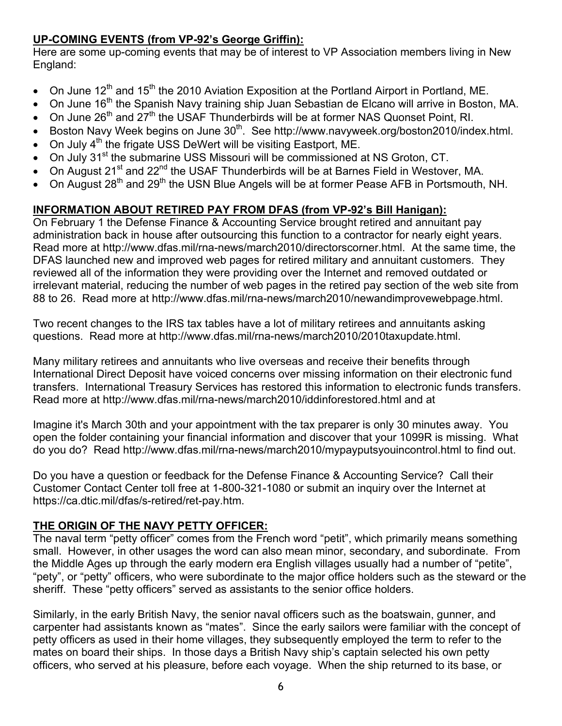# **UP-COMING EVENTS (from VP-92's George Griffin):**

Here are some up-coming events that may be of interest to VP Association members living in New England:

- On June 12<sup>th</sup> and 15<sup>th</sup> the 2010 Aviation Exposition at the Portland Airport in Portland, ME.
- On June  $16<sup>th</sup>$  the Spanish Navy training ship Juan Sebastian de Elcano will arrive in Boston, MA.
- On June 26<sup>th</sup> and 27<sup>th</sup> the USAF Thunderbirds will be at former NAS Quonset Point, RI.
- Boston Navy Week begins on June  $30<sup>th</sup>$ . See http://www.navyweek.org/boston2010/index.html.
- On July 4<sup>th</sup> the frigate USS DeWert will be visiting Eastport, ME.
- On July  $31<sup>st</sup>$  the submarine USS Missouri will be commissioned at NS Groton, CT.
- On August 21<sup>st</sup> and 22<sup>nd</sup> the USAF Thunderbirds will be at Barnes Field in Westover, MA.
- On August 28<sup>th</sup> and 29<sup>th</sup> the USN Blue Angels will be at former Pease AFB in Portsmouth, NH.

# **INFORMATION ABOUT RETIRED PAY FROM DFAS (from VP-92's Bill Hanigan):**

On February 1 the Defense Finance & Accounting Service brought retired and annuitant pay administration back in house after outsourcing this function to a contractor for nearly eight years. Read more at http://www.dfas.mil/rna-news/march2010/directorscorner.html. At the same time, the DFAS launched new and improved web pages for retired military and annuitant customers. They reviewed all of the information they were providing over the Internet and removed outdated or irrelevant material, reducing the number of web pages in the retired pay section of the web site from 88 to 26. Read more at http://www.dfas.mil/rna-news/march2010/newandimprovewebpage.html.

Two recent changes to the IRS tax tables have a lot of military retirees and annuitants asking questions. Read more at http://www.dfas.mil/rna-news/march2010/2010taxupdate.html.

Many military retirees and annuitants who live overseas and receive their benefits through International Direct Deposit have voiced concerns over missing information on their electronic fund transfers. International Treasury Services has restored this information to electronic funds transfers. Read more at http://www.dfas.mil/rna-news/march2010/iddinforestored.html and at

Imagine it's March 30th and your appointment with the tax preparer is only 30 minutes away. You open the folder containing your financial information and discover that your 1099R is missing. What do you do? Read http://www.dfas.mil/rna-news/march2010/mypayputsyouincontrol.html to find out.

Do you have a question or feedback for the Defense Finance & Accounting Service? Call their Customer Contact Center toll free at 1-800-321-1080 or submit an inquiry over the Internet at https://ca.dtic.mil/dfas/s-retired/ret-pay.htm.

# **THE ORIGIN OF THE NAVY PETTY OFFICER:**

The naval term "petty officer" comes from the French word "petit", which primarily means something small. However, in other usages the word can also mean minor, secondary, and subordinate. From the Middle Ages up through the early modern era English villages usually had a number of "petite", "pety", or "petty" officers, who were subordinate to the major office holders such as the steward or the sheriff. These "petty officers" served as assistants to the senior office holders.

Similarly, in the early British Navy, the senior naval officers such as the boatswain, gunner, and carpenter had assistants known as "mates". Since the early sailors were familiar with the concept of petty officers as used in their home villages, they subsequently employed the term to refer to the mates on board their ships. In those days a British Navy ship's captain selected his own petty officers, who served at his pleasure, before each voyage. When the ship returned to its base, or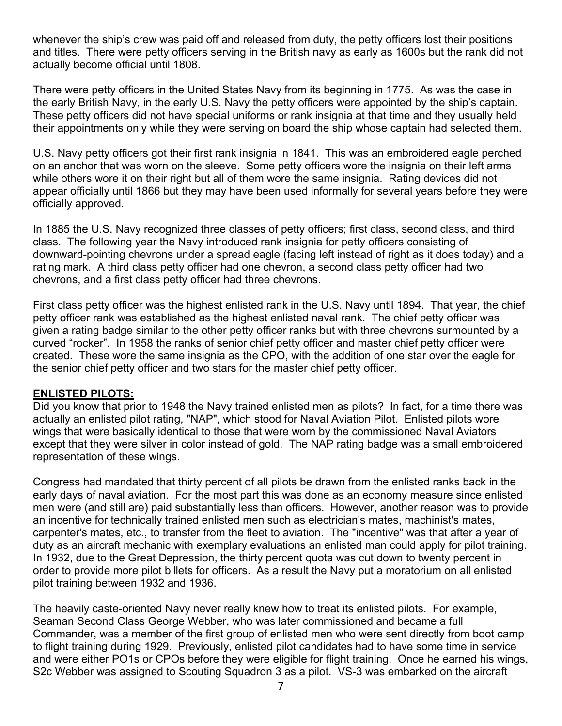whenever the ship's crew was paid off and released from duty, the petty officers lost their positions and titles. There were petty officers serving in the British navy as early as 1600s but the rank did not actually become official until 1808.

There were petty officers in the United States Navy from its beginning in 1775. As was the case in the early British Navy, in the early U.S. Navy the petty officers were appointed by the ship's captain. These petty officers did not have special uniforms or rank insignia at that time and they usually held their appointments only while they were serving on board the ship whose captain had selected them.

U.S. Navy petty officers got their first rank insignia in 1841. This was an embroidered eagle perched on an anchor that was worn on the sleeve. Some petty officers wore the insignia on their left arms while others wore it on their right but all of them wore the same insignia. Rating devices did not appear officially until 1866 but they may have been used informally for several years before they were officially approved.

In 1885 the U.S. Navy recognized three classes of petty officers; first class, second class, and third class. The following year the Navy introduced rank insignia for petty officers consisting of downward-pointing chevrons under a spread eagle (facing left instead of right as it does today) and a rating mark. A third class petty officer had one chevron, a second class petty officer had two chevrons, and a first class petty officer had three chevrons.

First class petty officer was the highest enlisted rank in the U.S. Navy until 1894. That year, the chief petty officer rank was established as the highest enlisted naval rank. The chief petty officer was given a rating badge similar to the other petty officer ranks but with three chevrons surmounted by a curved "rocker". In 1958 the ranks of senior chief petty officer and master chief petty officer were created. These wore the same insignia as the CPO, with the addition of one star over the eagle for the senior chief petty officer and two stars for the master chief petty officer.

### **ENLISTED PILOTS:**

Did you know that prior to 1948 the Navy trained enlisted men as pilots? In fact, for a time there was actually an enlisted pilot rating, "NAP", which stood for Naval Aviation Pilot. Enlisted pilots wore wings that were basically identical to those that were worn by the commissioned Naval Aviators except that they were silver in color instead of gold. The NAP rating badge was a small embroidered representation of these wings.

Congress had mandated that thirty percent of all pilots be drawn from the enlisted ranks back in the early days of naval aviation. For the most part this was done as an economy measure since enlisted men were (and still are) paid substantially less than officers. However, another reason was to provide an incentive for technically trained enlisted men such as electrician's mates, machinist's mates, carpenter's mates, etc., to transfer from the fleet to aviation. The "incentive" was that after a year of duty as an aircraft mechanic with exemplary evaluations an enlisted man could apply for pilot training. In 1932, due to the Great Depression, the thirty percent quota was cut down to twenty percent in order to provide more pilot billets for officers. As a result the Navy put a moratorium on all enlisted pilot training between 1932 and 1936.

The heavily caste-oriented Navy never really knew how to treat its enlisted pilots. For example, Seaman Second Class George Webber, who was later commissioned and became a full Commander, was a member of the first group of enlisted men who were sent directly from boot camp to flight training during 1929. Previously, enlisted pilot candidates had to have some time in service and were either PO1s or CPOs before they were eligible for flight training. Once he earned his wings, S2c Webber was assigned to Scouting Squadron 3 as a pilot. VS-3 was embarked on the aircraft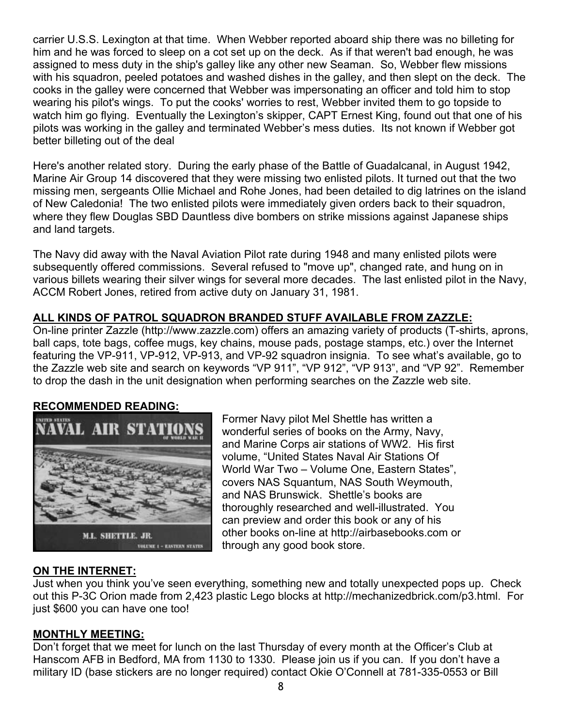carrier U.S.S. Lexington at that time. When Webber reported aboard ship there was no billeting for him and he was forced to sleep on a cot set up on the deck. As if that weren't bad enough, he was assigned to mess duty in the ship's galley like any other new Seaman. So, Webber flew missions with his squadron, peeled potatoes and washed dishes in the galley, and then slept on the deck. The cooks in the galley were concerned that Webber was impersonating an officer and told him to stop wearing his pilot's wings. To put the cooks' worries to rest, Webber invited them to go topside to watch him go flying. Eventually the Lexington's skipper, CAPT Ernest King, found out that one of his pilots was working in the galley and terminated Webber's mess duties. Its not known if Webber got better billeting out of the deal

Here's another related story. During the early phase of the Battle of Guadalcanal, in August 1942, Marine Air Group 14 discovered that they were missing two enlisted pilots. It turned out that the two missing men, sergeants Ollie Michael and Rohe Jones, had been detailed to dig latrines on the island of New Caledonia! The two enlisted pilots were immediately given orders back to their squadron, where they flew Douglas SBD Dauntless dive bombers on strike missions against Japanese ships and land targets.

The Navy did away with the Naval Aviation Pilot rate during 1948 and many enlisted pilots were subsequently offered commissions. Several refused to "move up", changed rate, and hung on in various billets wearing their silver wings for several more decades. The last enlisted pilot in the Navy, ACCM Robert Jones, retired from active duty on January 31, 1981.

## **ALL KINDS OF PATROL SQUADRON BRANDED STUFF AVAILABLE FROM ZAZZLE:**

On-line printer Zazzle (http://www.zazzle.com) offers an amazing variety of products (T-shirts, aprons, ball caps, tote bags, coffee mugs, key chains, mouse pads, postage stamps, etc.) over the Internet featuring the VP-911, VP-912, VP-913, and VP-92 squadron insignia. To see what's available, go to the Zazzle web site and search on keywords "VP 911", "VP 912", "VP 913", and "VP 92". Remember to drop the dash in the unit designation when performing searches on the Zazzle web site.

### **RECOMMENDED READING:**



Former Navy pilot Mel Shettle has written a wonderful series of books on the Army, Navy, and Marine Corps air stations of WW2. His first volume, "United States Naval Air Stations Of World War Two – Volume One, Eastern States", covers NAS Squantum, NAS South Weymouth, and NAS Brunswick. Shettle's books are thoroughly researched and well-illustrated. You can preview and order this book or any of his other books on-line at http://airbasebooks.com or through any good book store.

## **ON THE INTERNET:**

Just when you think you've seen everything, something new and totally unexpected pops up. Check out this P-3C Orion made from 2,423 plastic Lego blocks at http://mechanizedbrick.com/p3.html. For just \$600 you can have one too!

### **MONTHLY MEETING:**

Don't forget that we meet for lunch on the last Thursday of every month at the Officer's Club at Hanscom AFB in Bedford, MA from 1130 to 1330. Please join us if you can. If you don't have a military ID (base stickers are no longer required) contact Okie O'Connell at 781-335-0553 or Bill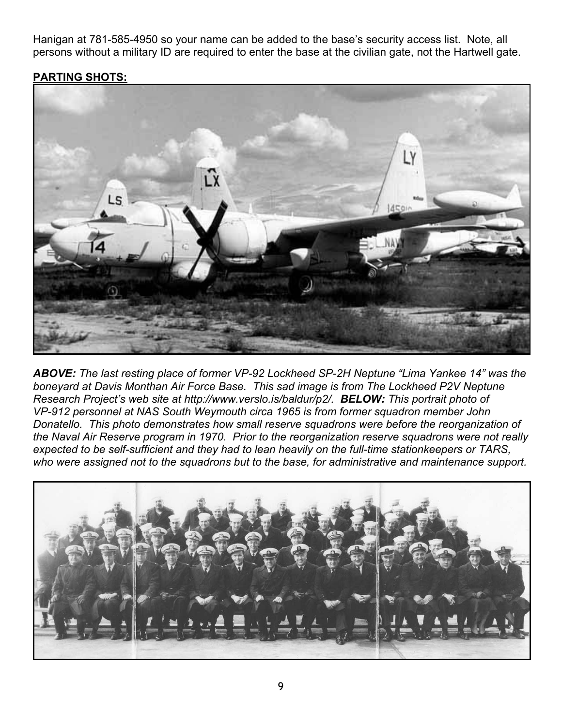Hanigan at 781-585-4950 so your name can be added to the base's security access list. Note, all persons without a military ID are required to enter the base at the civilian gate, not the Hartwell gate.

## **PARTING SHOTS:**



*ABOVE: The last resting place of former VP-92 Lockheed SP-2H Neptune "Lima Yankee 14" was the boneyard at Davis Monthan Air Force Base. This sad image is from The Lockheed P2V Neptune Research Project's web site at http://www.verslo.is/baldur/p2/. BELOW: This portrait photo of VP-912 personnel at NAS South Weymouth circa 1965 is from former squadron member John Donatello. This photo demonstrates how small reserve squadrons were before the reorganization of the Naval Air Reserve program in 1970. Prior to the reorganization reserve squadrons were not really expected to be self-sufficient and they had to lean heavily on the full-time stationkeepers or TARS, who were assigned not to the squadrons but to the base, for administrative and maintenance support.*

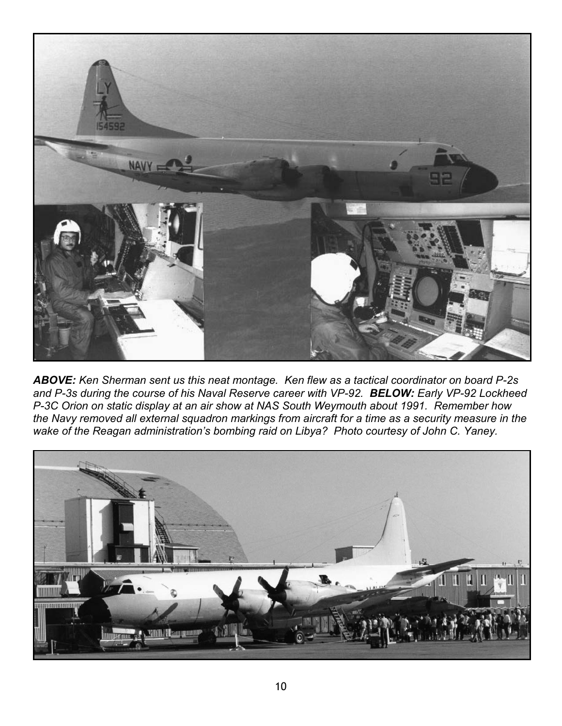

*ABOVE: Ken Sherman sent us this neat montage. Ken flew as a tactical coordinator on board P-2s and P-3s during the course of his Naval Reserve career with VP-92. BELOW: Early VP-92 Lockheed P-3C Orion on static display at an air show at NAS South Weymouth about 1991. Remember how the Navy removed all external squadron markings from aircraft for a time as a security measure in the wake of the Reagan administration's bombing raid on Libya? Photo courtesy of John C. Yaney.* 

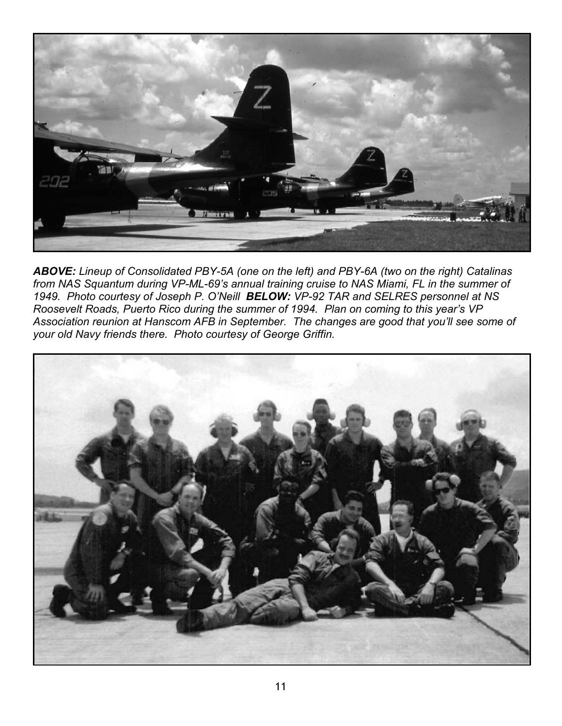

*ABOVE: Lineup of Consolidated PBY-5A (one on the left) and PBY-6A (two on the right) Catalinas from NAS Squantum during VP-ML-69's annual training cruise to NAS Miami, FL in the summer of 1949. Photo courtesy of Joseph P. O'Neill BELOW: VP-92 TAR and SELRES personnel at NS Roosevelt Roads, Puerto Rico during the summer of 1994. Plan on coming to this year's VP Association reunion at Hanscom AFB in September. The changes are good that you'll see some of your old Navy friends there. Photo courtesy of George Griffin.*